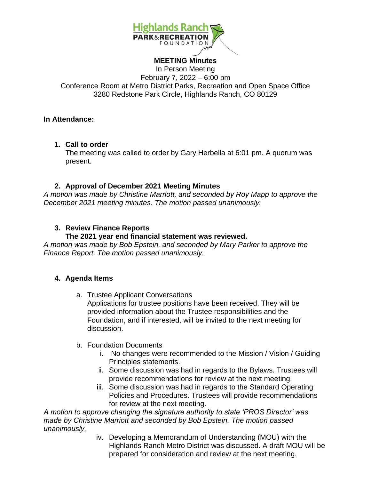

#### **MEETING Minutes**

In Person Meeting February 7, 2022 – 6:00 pm Conference Room at Metro District Parks, Recreation and Open Space Office 3280 Redstone Park Circle, Highlands Ranch, CO 80129

#### **In Attendance:**

**1. Call to order**

The meeting was called to order by Gary Herbella at 6:01 pm. A quorum was present.

## **2. Approval of December 2021 Meeting Minutes**

*A motion was made by Christine Marriott, and seconded by Roy Mapp to approve the December 2021 meeting minutes. The motion passed unanimously.* 

# **3. Review Finance Reports**

## **The 2021 year end financial statement was reviewed.**

*A motion was made by Bob Epstein, and seconded by Mary Parker to approve the Finance Report. The motion passed unanimously.* 

## **4. Agenda Items**

a. Trustee Applicant Conversations Applications for trustee positions have been received. They will be provided information about the Trustee responsibilities and the Foundation, and if interested, will be invited to the next meeting for discussion.

## b. Foundation Documents

- i. No changes were recommended to the Mission / Vision / Guiding Principles statements.
- ii. Some discussion was had in regards to the Bylaws. Trustees will provide recommendations for review at the next meeting.
- iii. Some discussion was had in regards to the Standard Operating Policies and Procedures. Trustees will provide recommendations for review at the next meeting.

*A motion to approve changing the signature authority to state 'PROS Director' was made by Christine Marriott and seconded by Bob Epstein. The motion passed unanimously.* 

iv. Developing a Memorandum of Understanding (MOU) with the Highlands Ranch Metro District was discussed. A draft MOU will be prepared for consideration and review at the next meeting.